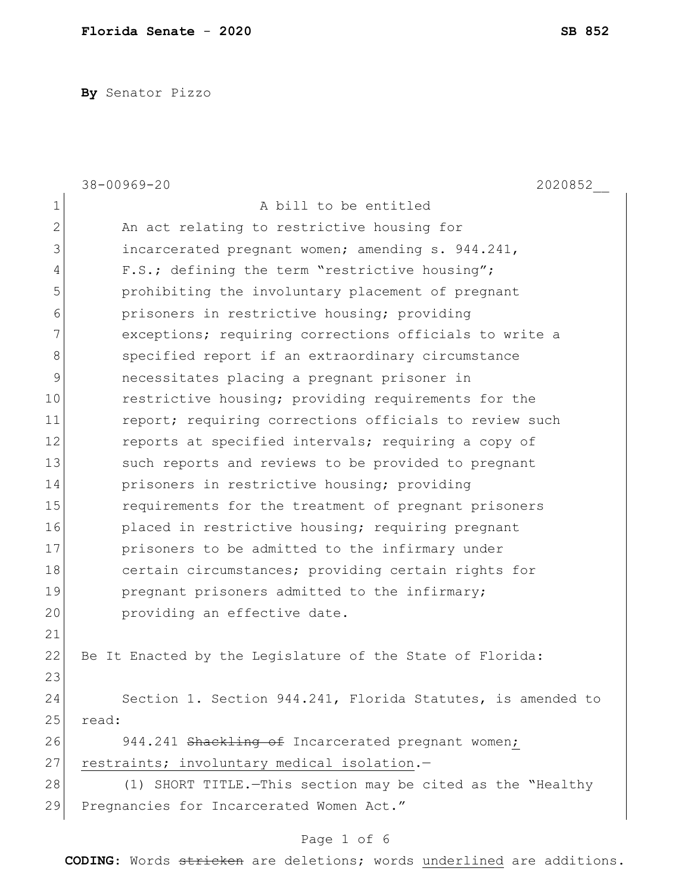**By** Senator Pizzo

|               | 38-00969-20<br>2020852                                       |
|---------------|--------------------------------------------------------------|
| $1\,$         | A bill to be entitled                                        |
| $\mathbf{2}$  | An act relating to restrictive housing for                   |
| 3             | incarcerated pregnant women; amending s. 944.241,            |
| 4             | F.S.; defining the term "restrictive housing";               |
| 5             | prohibiting the involuntary placement of pregnant            |
| 6             | prisoners in restrictive housing; providing                  |
| 7             | exceptions; requiring corrections officials to write a       |
| $8\,$         | specified report if an extraordinary circumstance            |
| $\mathcal{G}$ | necessitates placing a pregnant prisoner in                  |
| 10            | restrictive housing; providing requirements for the          |
| 11            | report; requiring corrections officials to review such       |
| 12            | reports at specified intervals; requiring a copy of          |
| 13            | such reports and reviews to be provided to pregnant          |
| 14            | prisoners in restrictive housing; providing                  |
| 15            | requirements for the treatment of pregnant prisoners         |
| 16            | placed in restrictive housing; requiring pregnant            |
| 17            | prisoners to be admitted to the infirmary under              |
| 18            | certain circumstances; providing certain rights for          |
| 19            | pregnant prisoners admitted to the infirmary;                |
| 20            | providing an effective date.                                 |
| 21            |                                                              |
| 22            | Be It Enacted by the Legislature of the State of Florida:    |
| 23            |                                                              |
| 24            | Section 1. Section 944.241, Florida Statutes, is amended to  |
| 25            | read:                                                        |
| 26            | 944.241 Shackling of Incarcerated pregnant women;            |
| 27            | restraints; involuntary medical isolation.-                  |
| 28            | (1) SHORT TITLE. - This section may be cited as the "Healthy |
| 29            | Pregnancies for Incarcerated Women Act."                     |

# Page 1 of 6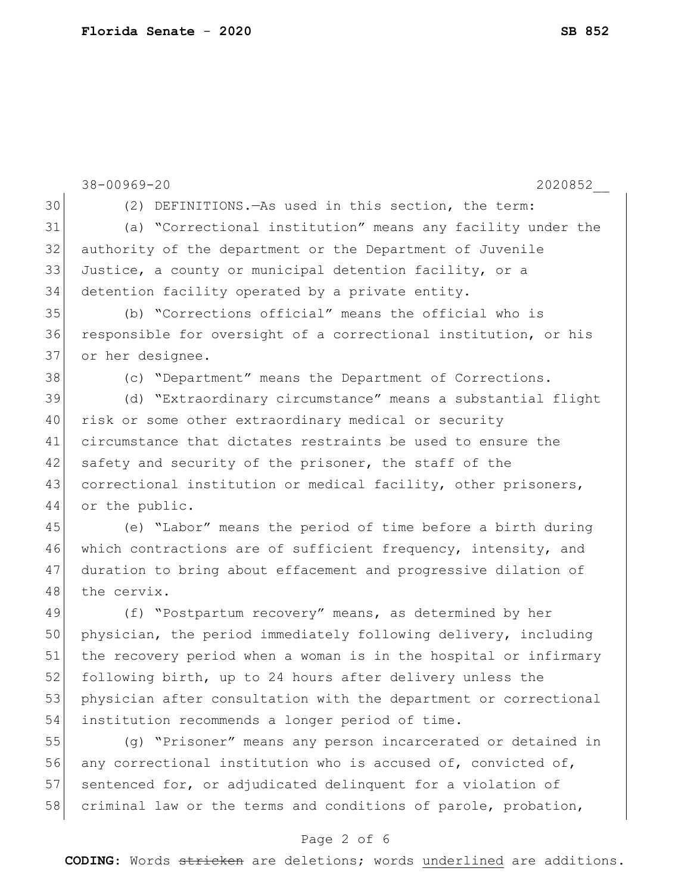|    | 38-00969-20<br>2020852                                           |
|----|------------------------------------------------------------------|
| 30 | (2) DEFINITIONS. - As used in this section, the term:            |
| 31 | (a) "Correctional institution" means any facility under the      |
| 32 | authority of the department or the Department of Juvenile        |
| 33 | Justice, a county or municipal detention facility, or a          |
| 34 | detention facility operated by a private entity.                 |
| 35 | (b) "Corrections official" means the official who is             |
| 36 | responsible for oversight of a correctional institution, or his  |
| 37 | or her designee.                                                 |
| 38 | (c) "Department" means the Department of Corrections.            |
| 39 | (d) "Extraordinary circumstance" means a substantial flight      |
| 40 | risk or some other extraordinary medical or security             |
| 41 | circumstance that dictates restraints be used to ensure the      |
| 42 | safety and security of the prisoner, the staff of the            |
| 43 | correctional institution or medical facility, other prisoners,   |
| 44 | or the public.                                                   |
| 45 | (e) "Labor" means the period of time before a birth during       |
| 46 | which contractions are of sufficient frequency, intensity, and   |
| 47 | duration to bring about effacement and progressive dilation of   |
| 48 | the cervix.                                                      |
| 49 | (f) "Postpartum recovery" means, as determined by her            |
| 50 | physician, the period immediately following delivery, including  |
| 51 | the recovery period when a woman is in the hospital or infirmary |
| 52 | following birth, up to 24 hours after delivery unless the        |
| 53 | physician after consultation with the department or correctional |
| 54 | institution recommends a longer period of time.                  |
| 55 | (q) "Prisoner" means any person incarcerated or detained in      |
| 56 | any correctional institution who is accused of, convicted of,    |
| 57 | sentenced for, or adjudicated delinquent for a violation of      |
| 58 | criminal law or the terms and conditions of parole, probation,   |
|    | Page 2 of 6                                                      |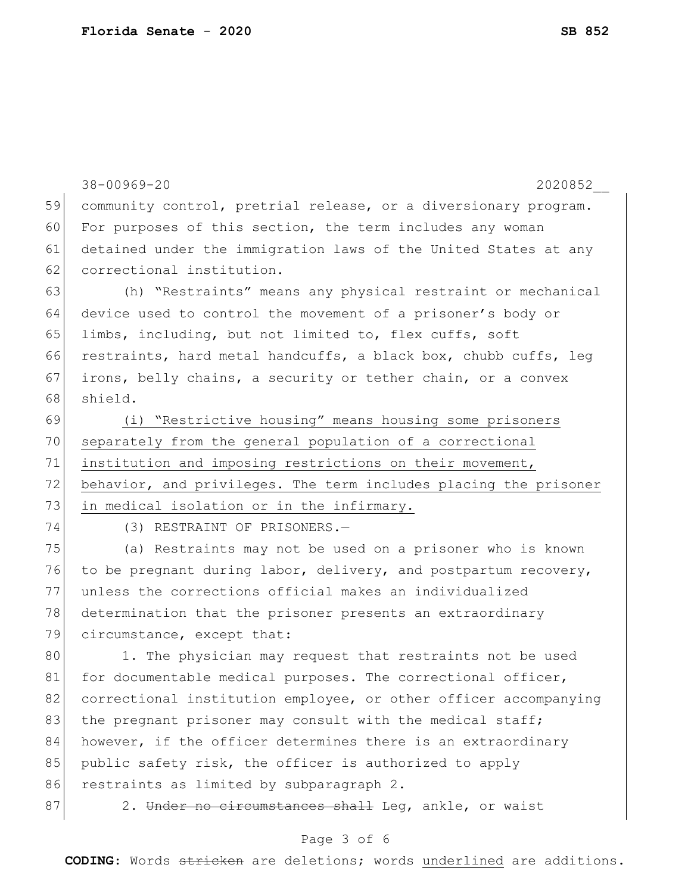|    | 38-00969-20<br>2020852                                           |
|----|------------------------------------------------------------------|
| 59 | community control, pretrial release, or a diversionary program.  |
| 60 | For purposes of this section, the term includes any woman        |
| 61 | detained under the immigration laws of the United States at any  |
| 62 | correctional institution.                                        |
| 63 | (h) "Restraints" means any physical restraint or mechanical      |
| 64 | device used to control the movement of a prisoner's body or      |
| 65 | limbs, including, but not limited to, flex cuffs, soft           |
| 66 | restraints, hard metal handcuffs, a black box, chubb cuffs, leg  |
| 67 | irons, belly chains, a security or tether chain, or a convex     |
| 68 | shield.                                                          |
| 69 | (i) "Restrictive housing" means housing some prisoners           |
| 70 | separately from the general population of a correctional         |
| 71 | institution and imposing restrictions on their movement,         |
| 72 | behavior, and privileges. The term includes placing the prisoner |
| 73 | in medical isolation or in the infirmary.                        |
| 74 | (3) RESTRAINT OF PRISONERS.-                                     |
| 75 | (a) Restraints may not be used on a prisoner who is known        |
| 76 | to be pregnant during labor, delivery, and postpartum recovery,  |
| 77 | unless the corrections official makes an individualized          |
| 78 | determination that the prisoner presents an extraordinary        |
| 79 | circumstance, except that:                                       |
| 80 | 1. The physician may request that restraints not be used         |
| 81 | for documentable medical purposes. The correctional officer,     |
| 82 | correctional institution employee, or other officer accompanying |
| 83 | the pregnant prisoner may consult with the medical staff;        |
| 84 | however, if the officer determines there is an extraordinary     |
| 85 | public safety risk, the officer is authorized to apply           |
| 86 | restraints as limited by subparagraph 2.                         |
| 87 | 2. Under no circumstances shall Leg, ankle, or waist             |

# Page 3 of 6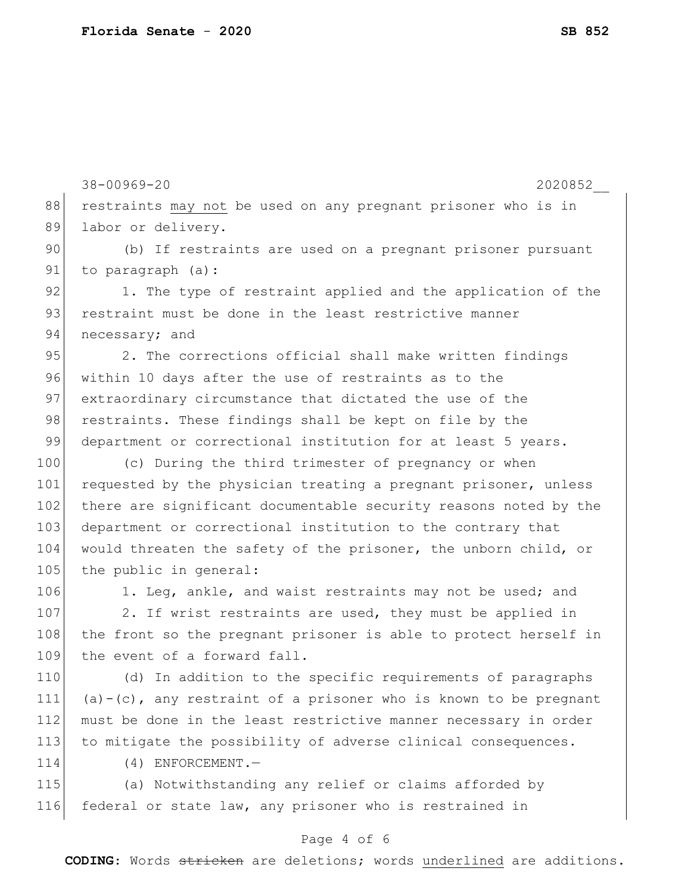|     | 38-00969-20<br>2020852                                                |
|-----|-----------------------------------------------------------------------|
| 88  | restraints may not be used on any pregnant prisoner who is in         |
| 89  | labor or delivery.                                                    |
| 90  | (b) If restraints are used on a pregnant prisoner pursuant            |
| 91  | to paragraph (a):                                                     |
| 92  | 1. The type of restraint applied and the application of the           |
| 93  | restraint must be done in the least restrictive manner                |
| 94  | necessary; and                                                        |
| 95  | 2. The corrections official shall make written findings               |
| 96  | within 10 days after the use of restraints as to the                  |
| 97  | extraordinary circumstance that dictated the use of the               |
| 98  | restraints. These findings shall be kept on file by the               |
| 99  | department or correctional institution for at least 5 years.          |
| 100 | (c) During the third trimester of pregnancy or when                   |
| 101 | requested by the physician treating a pregnant prisoner, unless       |
| 102 | there are significant documentable security reasons noted by the      |
| 103 | department or correctional institution to the contrary that           |
| 104 | would threaten the safety of the prisoner, the unborn child, or       |
| 105 | the public in general:                                                |
| 106 | 1. Leg, ankle, and waist restraints may not be used; and              |
| 107 | 2. If wrist restraints are used, they must be applied in              |
| 108 | the front so the pregnant prisoner is able to protect herself in      |
| 109 | the event of a forward fall.                                          |
| 110 | In addition to the specific requirements of paragraphs<br>(d)         |
| 111 | $(a) - (c)$ , any restraint of a prisoner who is known to be pregnant |
| 112 | must be done in the least restrictive manner necessary in order       |
| 113 | to mitigate the possibility of adverse clinical consequences.         |
| 114 | $(4)$ ENFORCEMENT. -                                                  |
| 115 | (a) Notwithstanding any relief or claims afforded by                  |
| 116 | federal or state law, any prisoner who is restrained in               |

# Page 4 of 6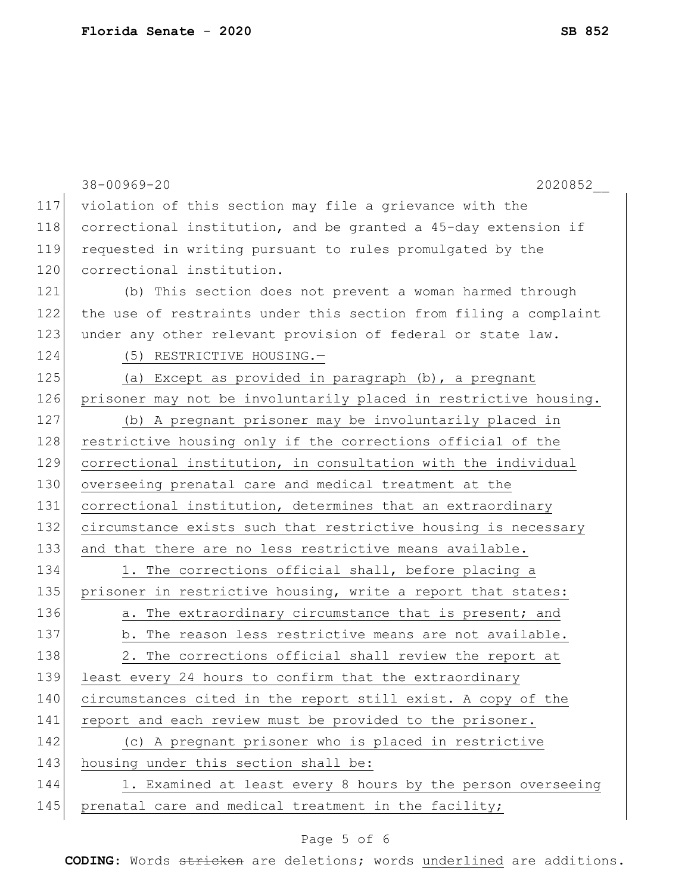|     | 38-00969-20<br>2020852                                           |
|-----|------------------------------------------------------------------|
| 117 | violation of this section may file a grievance with the          |
| 118 | correctional institution, and be granted a 45-day extension if   |
| 119 | requested in writing pursuant to rules promulgated by the        |
| 120 | correctional institution.                                        |
| 121 | (b) This section does not prevent a woman harmed through         |
| 122 | the use of restraints under this section from filing a complaint |
| 123 | under any other relevant provision of federal or state law.      |
| 124 | (5) RESTRICTIVE HOUSING.                                         |
| 125 | (a) Except as provided in paragraph (b), a pregnant              |
| 126 | prisoner may not be involuntarily placed in restrictive housing. |
| 127 | (b) A pregnant prisoner may be involuntarily placed in           |
| 128 | restrictive housing only if the corrections official of the      |
| 129 | correctional institution, in consultation with the individual    |
| 130 | overseeing prenatal care and medical treatment at the            |
| 131 | correctional institution, determines that an extraordinary       |
| 132 | circumstance exists such that restrictive housing is necessary   |
| 133 | and that there are no less restrictive means available.          |
| 134 | 1. The corrections official shall, before placing a              |
| 135 | prisoner in restrictive housing, write a report that states:     |
| 136 | a. The extraordinary circumstance that is present; and           |
| 137 | b. The reason less restrictive means are not available.          |
| 138 | 2. The corrections official shall review the report at           |
| 139 | least every 24 hours to confirm that the extraordinary           |
| 140 | circumstances cited in the report still exist. A copy of the     |
| 141 | report and each review must be provided to the prisoner.         |
| 142 | (c) A pregnant prisoner who is placed in restrictive             |
| 143 | housing under this section shall be:                             |
| 144 | 1. Examined at least every 8 hours by the person overseeing      |
| 145 | prenatal care and medical treatment in the facility;             |
|     |                                                                  |

# Page 5 of 6